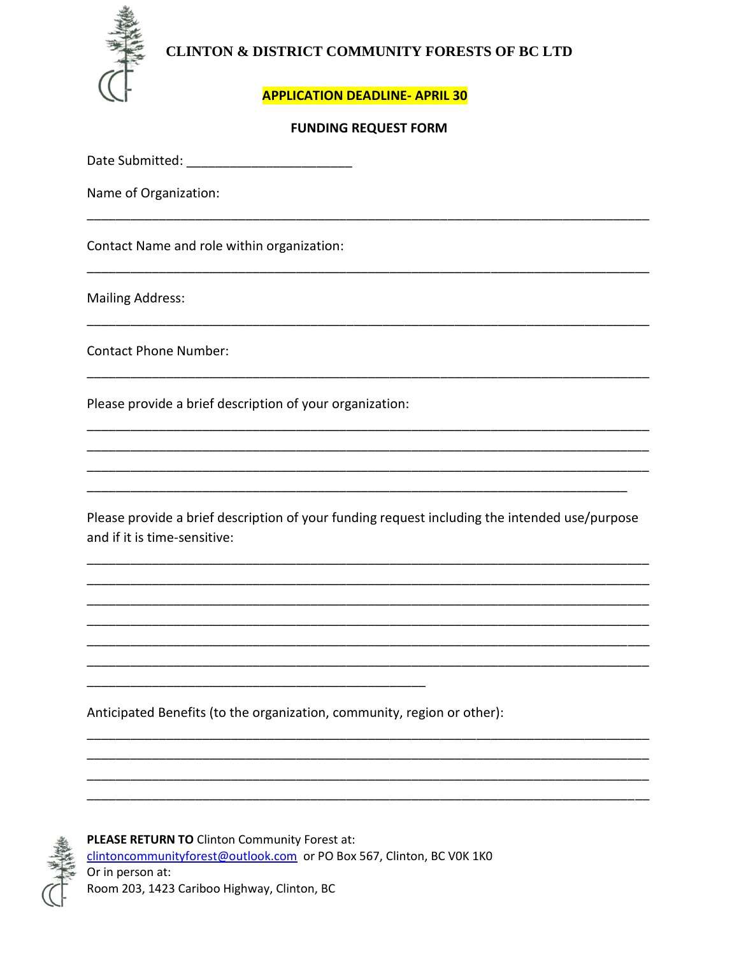

## CLINTON & DISTRICT COMMUNITY FORESTS OF BC LTD

## **APPLICATION DEADLINE- APRIL 30**

## **FUNDING REQUEST FORM**

Name of Organization:

Contact Name and role within organization:

**Mailing Address:** 

**Contact Phone Number:** 

Please provide a brief description of your organization:

Please provide a brief description of your funding request including the intended use/purpose and if it is time-sensitive:

Anticipated Benefits (to the organization, community, region or other):



PLEASE RETURN TO Clinton Community Forest at: clintoncommunityforest@outlook.com or PO Box 567, Clinton, BC VOK 1KO Or in person at: Room 203, 1423 Cariboo Highway, Clinton, BC